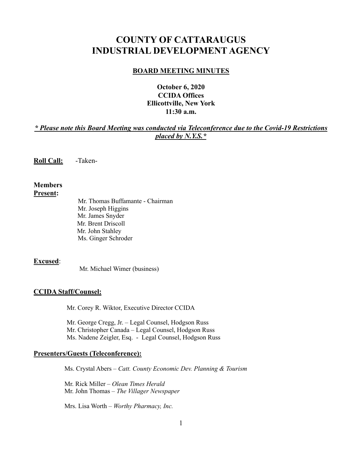# **COUNTY OF CATTARAUGUS INDUSTRIAL DEVELOPMENT AGENCY**

#### **BOARD MEETING MINUTES**

## **October 6, 2020 CCIDA Offices Ellicottville, New York 11:30 a.m.**

## *\* Please note this Board Meeting was conducted via Teleconference due to the Covid-19 Restrictions placed by N.Y.S.\**

**Roll Call:** -Taken-

## **Members Present:**

Mr. Thomas Buffamante - Chairman Mr. Joseph Higgins Mr. James Snyder Mr. Brent Driscoll Mr. John Stahley Ms. Ginger Schroder

## **Excused**:

Mr. Michael Wimer (business)

#### **CCIDA Staff/Counsel:**

Mr. Corey R. Wiktor, Executive Director CCIDA

Mr. George Cregg, Jr. – Legal Counsel, Hodgson Russ Mr. Christopher Canada – Legal Counsel, Hodgson Russ Ms. Nadene Zeigler, Esq. - Legal Counsel, Hodgson Russ

#### **Presenters/Guests (Teleconference):**

Ms. Crystal Abers – *Catt. County Economic Dev. Planning & Tourism*

 Mr. Rick Miller – *Olean Times Herald* Mr. John Thomas – *The Villager Newspaper*

Mrs. Lisa Worth – *Worthy Pharmacy, Inc.*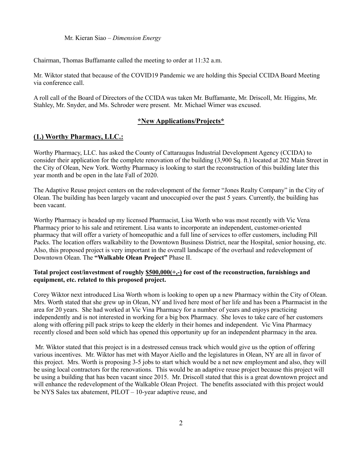Mr. Kieran Siao – *Dimension Energy*

Chairman, Thomas Buffamante called the meeting to order at 11:32 a.m.

Mr. Wiktor stated that because of the COVID19 Pandemic we are holding this Special CCIDA Board Meeting via conference call.

A roll call of the Board of Directors of the CCIDA was taken Mr. Buffamante, Mr. Driscoll, Mr. Higgins, Mr. Stahley, Mr. Snyder, and Ms. Schroder were present. Mr. Michael Wimer was excused.

#### **\*New Applications/Projects\***

## **(1.) Worthy Pharmacy, LLC.:**

Worthy Pharmacy, LLC. has asked the County of Cattaraugus Industrial Development Agency (CCIDA) to consider their application for the complete renovation of the building (3,900 Sq. ft.) located at 202 Main Street in the City of Olean, New York. Worthy Pharmacy is looking to start the reconstruction of this building later this year month and be open in the late Fall of 2020.

The Adaptive Reuse project centers on the redevelopment of the former "Jones Realty Company" in the City of Olean. The building has been largely vacant and unoccupied over the past 5 years. Currently, the building has been vacant.

Worthy Pharmacy is headed up my licensed Pharmacist, Lisa Worth who was most recently with Vic Vena Pharmacy prior to his sale and retirement. Lisa wants to incorporate an independent, customer-oriented pharmacy that will offer a variety of homeopathic and a full line of services to offer customers, including Pill Packs. The location offers walkability to the Downtown Business District, near the Hospital, senior housing, etc. Also, this proposed project is very important in the overall landscape of the overhaul and redevelopment of Downtown Olean. The **"Walkable Olean Project"** Phase II.

#### **Total project cost/investment of roughly \$500,000(+,-) for cost of the reconstruction, furnishings and equipment, etc. related to this proposed project.**

Corey Wiktor next introduced Lisa Worth whom is looking to open up a new Pharmacy within the City of Olean. Mrs. Worth stated that she grew up in Olean, NY and lived here most of her life and has been a Pharmacist in the area for 20 years. She had worked at Vic Vina Pharmacy for a number of years and enjoys practicing independently and is not interested in working for a big box Pharmacy. She loves to take care of her customers along with offering pill pack strips to keep the elderly in their homes and independent. Vic Vina Pharmacy recently closed and been sold which has opened this opportunity up for an independent pharmacy in the area.

Mr. Wiktor stated that this project is in a destressed census track which would give us the option of offering various incentives. Mr. Wiktor has met with Mayor Aiello and the legislatures in Olean, NY are all in favor of this project. Mrs. Worth is proposing 3-5 jobs to start which would be a net new employment and also, they will be using local contractors for the renovations. This would be an adaptive reuse project because this project will be using a building that has been vacant since 2015. Mr. Driscoll stated that this is a great downtown project and will enhance the redevelopment of the Walkable Olean Project. The benefits associated with this project would be NYS Sales tax abatement, PILOT – 10-year adaptive reuse, and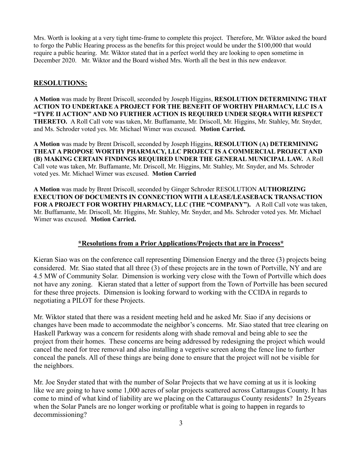Mrs. Worth is looking at a very tight time-frame to complete this project. Therefore, Mr. Wiktor asked the board to forgo the Public Hearing process as the benefits for this project would be under the \$100,000 that would require a public hearing. Mr. Wiktor stated that in a perfect world they are looking to open sometime in December 2020. Mr. Wiktor and the Board wished Mrs. Worth all the best in this new endeavor.

## **RESOLUTIONS:**

**A Motion** was made by Brent Driscoll, seconded by Joseph Higgins, **RESOLUTION DETERMINING THAT ACTION TO UNDERTAKE A PROJECT FOR THE BENEFIT OF WORTHY PHARMACY, LLC IS A "TYPE II ACTION" AND NO FURTHER ACTION IS REQUIRED UNDER SEQRA WITH RESPECT THERETO.** A Roll Call vote was taken, Mr. Buffamante, Mr. Driscoll, Mr. Higgins, Mr. Stahley, Mr. Snyder, and Ms. Schroder voted yes. Mr. Michael Wimer was excused. **Motion Carried.**

**A Motion** was made by Brent Driscoll, seconded by Joseph Higgins, **RESOLUTION (A) DETERMINING THEAT A PROPOSE WORTHY PHARMACY, LLC PROJECT IS A COMMERCIAL PROJECT AND (B) MAKING CERTAIN FINDINGS REQUIRED UNDER THE GENERAL MUNICIPAL LAW.** A Roll Call vote was taken, Mr. Buffamante, Mr. Driscoll, Mr. Higgins, Mr. Stahley, Mr. Snyder, and Ms. Schroder voted yes. Mr. Michael Wimer was excused. **Motion Carried**

**A Motion** was made by Brent Driscoll, seconded by Ginger Schroder RESOLUTION **AUTHORIZING EXECUTION OF DOCUMENTS IN CONNECTION WITH A LEASE/LEASEBACK TRANSACTION FOR A PROJECT FOR WORTHY PHARMACY, LLC (THE "COMPANY").** A Roll Call vote was taken, Mr. Buffamante, Mr. Driscoll, Mr. Higgins, Mr. Stahley, Mr. Snyder, and Ms. Schroder voted yes. Mr. Michael Wimer was excused. **Motion Carried.**

## **\*Resolutions from a Prior Applications/Projects that are in Process\***

Kieran Siao was on the conference call representing Dimension Energy and the three (3) projects being considered. Mr. Siao stated that all three (3) of these projects are in the town of Portville, NY and are 4.5 MW of Community Solar. Dimension is working very close with the Town of Portville which does not have any zoning. Kieran stated that a letter of support from the Town of Portville has been secured for these three projects. Dimension is looking forward to working with the CCIDA in regards to negotiating a PILOT for these Projects.

Mr. Wiktor stated that there was a resident meeting held and he asked Mr. Siao if any decisions or changes have been made to accommodate the neighbor's concerns. Mr. Siao stated that tree clearing on Haskell Parkway was a concern for residents along with shade removal and being able to see the project from their homes. These concerns are being addressed by redesigning the project which would cancel the need for tree removal and also installing a vegetive screen along the fence line to further conceal the panels. All of these things are being done to ensure that the project will not be visible for the neighbors.

Mr. Joe Snyder stated that with the number of Solar Projects that we have coming at us it is looking like we are going to have some 1,000 acres of solar projects scattered across Cattaraugus County. It has come to mind of what kind of liability are we placing on the Cattaraugus County residents? In 25years when the Solar Panels are no longer working or profitable what is going to happen in regards to decommissioning?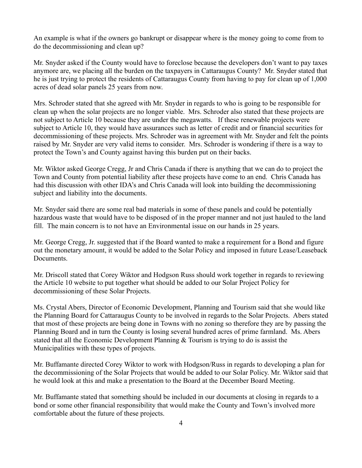An example is what if the owners go bankrupt or disappear where is the money going to come from to do the decommissioning and clean up?

Mr. Snyder asked if the County would have to foreclose because the developers don't want to pay taxes anymore are, we placing all the burden on the taxpayers in Cattaraugus County? Mr. Snyder stated that he is just trying to protect the residents of Cattaraugus County from having to pay for clean up of 1,000 acres of dead solar panels 25 years from now.

Mrs. Schroder stated that she agreed with Mr. Snyder in regards to who is going to be responsible for clean up when the solar projects are no longer viable. Mrs. Schroder also stated that these projects are not subject to Article 10 because they are under the megawatts. If these renewable projects were subject to Article 10, they would have assurances such as letter of credit and or financial securities for decommissioning of these projects. Mrs. Schroder was in agreement with Mr. Snyder and felt the points raised by Mr. Snyder are very valid items to consider. Mrs. Schroder is wondering if there is a way to protect the Town's and County against having this burden put on their backs.

Mr. Wiktor asked George Cregg, Jr and Chris Canada if there is anything that we can do to project the Town and County from potential liability after these projects have come to an end. Chris Canada has had this discussion with other IDA's and Chris Canada will look into building the decommissioning subject and liability into the documents.

Mr. Snyder said there are some real bad materials in some of these panels and could be potentially hazardous waste that would have to be disposed of in the proper manner and not just hauled to the land fill. The main concern is to not have an Environmental issue on our hands in 25 years.

Mr. George Cregg, Jr. suggested that if the Board wanted to make a requirement for a Bond and figure out the monetary amount, it would be added to the Solar Policy and imposed in future Lease/Leaseback Documents.

Mr. Driscoll stated that Corey Wiktor and Hodgson Russ should work together in regards to reviewing the Article 10 website to put together what should be added to our Solar Project Policy for decommissioning of these Solar Projects.

Ms. Crystal Abers, Director of Economic Development, Planning and Tourism said that she would like the Planning Board for Cattaraugus County to be involved in regards to the Solar Projects. Abers stated that most of these projects are being done in Towns with no zoning so therefore they are by passing the Planning Board and in turn the County is losing several hundred acres of prime farmland. Ms. Abers stated that all the Economic Development Planning & Tourism is trying to do is assist the Municipalities with these types of projects.

Mr. Buffamante directed Corey Wiktor to work with Hodgson/Russ in regards to developing a plan for the decommissioning of the Solar Projects that would be added to our Solar Policy. Mr. Wiktor said that he would look at this and make a presentation to the Board at the December Board Meeting.

Mr. Buffamante stated that something should be included in our documents at closing in regards to a bond or some other financial responsibility that would make the County and Town's involved more comfortable about the future of these projects.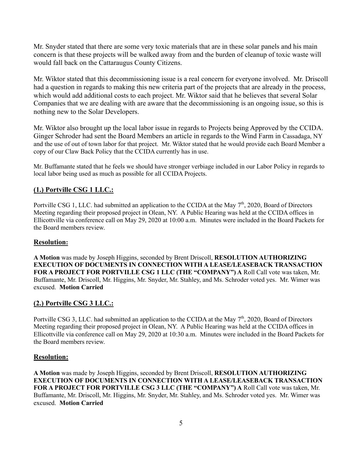Mr. Snyder stated that there are some very toxic materials that are in these solar panels and his main concern is that these projects will be walked away from and the burden of cleanup of toxic waste will would fall back on the Cattaraugus County Citizens.

Mr. Wiktor stated that this decommissioning issue is a real concern for everyone involved. Mr. Driscoll had a question in regards to making this new criteria part of the projects that are already in the process, which would add additional costs to each project. Mr. Wiktor said that he believes that several Solar Companies that we are dealing with are aware that the decommissioning is an ongoing issue, so this is nothing new to the Solar Developers.

Mr. Wiktor also brought up the local labor issue in regards to Projects being Approved by the CCIDA. Ginger Schroder had sent the Board Members an article in regards to the Wind Farm in Cassadaga, NY and the use of out of town labor for that project. Mr. Wiktor stated that he would provide each Board Member a copy of our Claw Back Policy that the CCIDA currently has in use.

Mr. Buffamante stated that he feels we should have stronger verbiage included in our Labor Policy in regards to local labor being used as much as possible for all CCIDA Projects.

## **(1.) Portville CSG 1 LLC.:**

Portville CSG 1, LLC. had submitted an application to the CCIDA at the May 7<sup>th</sup>, 2020, Board of Directors Meeting regarding their proposed project in Olean, NY. A Public Hearing was held at the CCIDA offices in Ellicottville via conference call on May 29, 2020 at 10:00 a.m. Minutes were included in the Board Packets for the Board members review.

## **Resolution:**

**A Motion** was made by Joseph Higgins, seconded by Brent Driscoll, **RESOLUTION AUTHORIZING EXECUTION OF DOCUMENTS IN CONNECTION WITH A LEASE/LEASEBACK TRANSACTION FOR A PROJECT FOR PORTVILLE CSG 1 LLC (THE "COMPANY") A** Roll Call vote was taken, Mr. Buffamante, Mr. Driscoll, Mr. Higgins, Mr. Snyder, Mr. Stahley, and Ms. Schroder voted yes. Mr. Wimer was excused. **Motion Carried** 

## **(2.) Portville CSG 3 LLC.:**

Portville CSG 3, LLC. had submitted an application to the CCIDA at the May 7<sup>th</sup>, 2020, Board of Directors Meeting regarding their proposed project in Olean, NY. A Public Hearing was held at the CCIDA offices in Ellicottville via conference call on May 29, 2020 at 10:30 a.m. Minutes were included in the Board Packets for the Board members review.

## **Resolution:**

**A Motion** was made by Joseph Higgins, seconded by Brent Driscoll, **RESOLUTION AUTHORIZING EXECUTION OF DOCUMENTS IN CONNECTION WITH A LEASE/LEASEBACK TRANSACTION FOR A PROJECT FOR PORTVILLE CSG 3 LLC (THE "COMPANY") A** Roll Call vote was taken, Mr. Buffamante, Mr. Driscoll, Mr. Higgins, Mr. Snyder, Mr. Stahley, and Ms. Schroder voted yes. Mr. Wimer was excused. **Motion Carried**